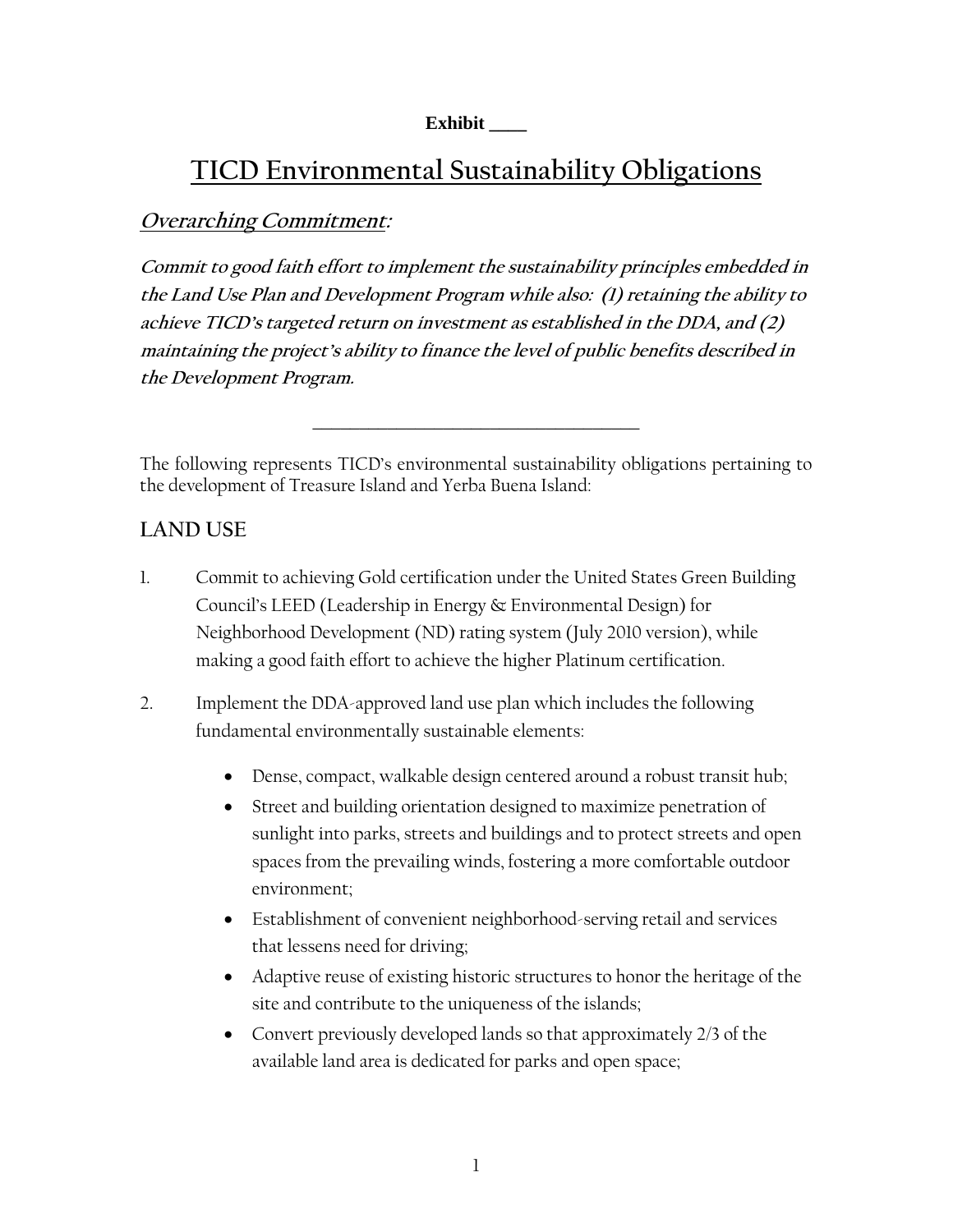#### **Exhibit \_\_\_\_**

# **TICD Environmental Sustainability Obligations**

### **Overarching Commitment:**

**Commit to good faith effort to implement the sustainability principles embedded in the Land Use Plan and Development Program while also: (1) retaining the ability to achieve TICD's targeted return on investment as established in the DDA, and (2) maintaining the project's ability to finance the level of public benefits described in the Development Program.**

The following represents TICD's environmental sustainability obligations pertaining to the development of Treasure Island and Yerba Buena Island:

\_\_\_\_\_\_\_\_\_\_\_\_\_\_\_\_\_\_\_\_\_\_\_\_\_\_\_\_\_\_\_\_\_\_\_

### **LAND USE**

- 1. Commit to achieving Gold certification under the United States Green Building Council's LEED (Leadership in Energy & Environmental Design) for Neighborhood Development (ND) rating system (July 2010 version), while making a good faith effort to achieve the higher Platinum certification.
- 2. Implement the DDA-approved land use plan which includes the following fundamental environmentally sustainable elements:
	- Dense, compact, walkable design centered around a robust transit hub;
	- Street and building orientation designed to maximize penetration of sunlight into parks, streets and buildings and to protect streets and open spaces from the prevailing winds, fostering a more comfortable outdoor environment;
	- Establishment of convenient neighborhood-serving retail and services that lessens need for driving;
	- Adaptive reuse of existing historic structures to honor the heritage of the site and contribute to the uniqueness of the islands;
	- Convert previously developed lands so that approximately 2/3 of the available land area is dedicated for parks and open space;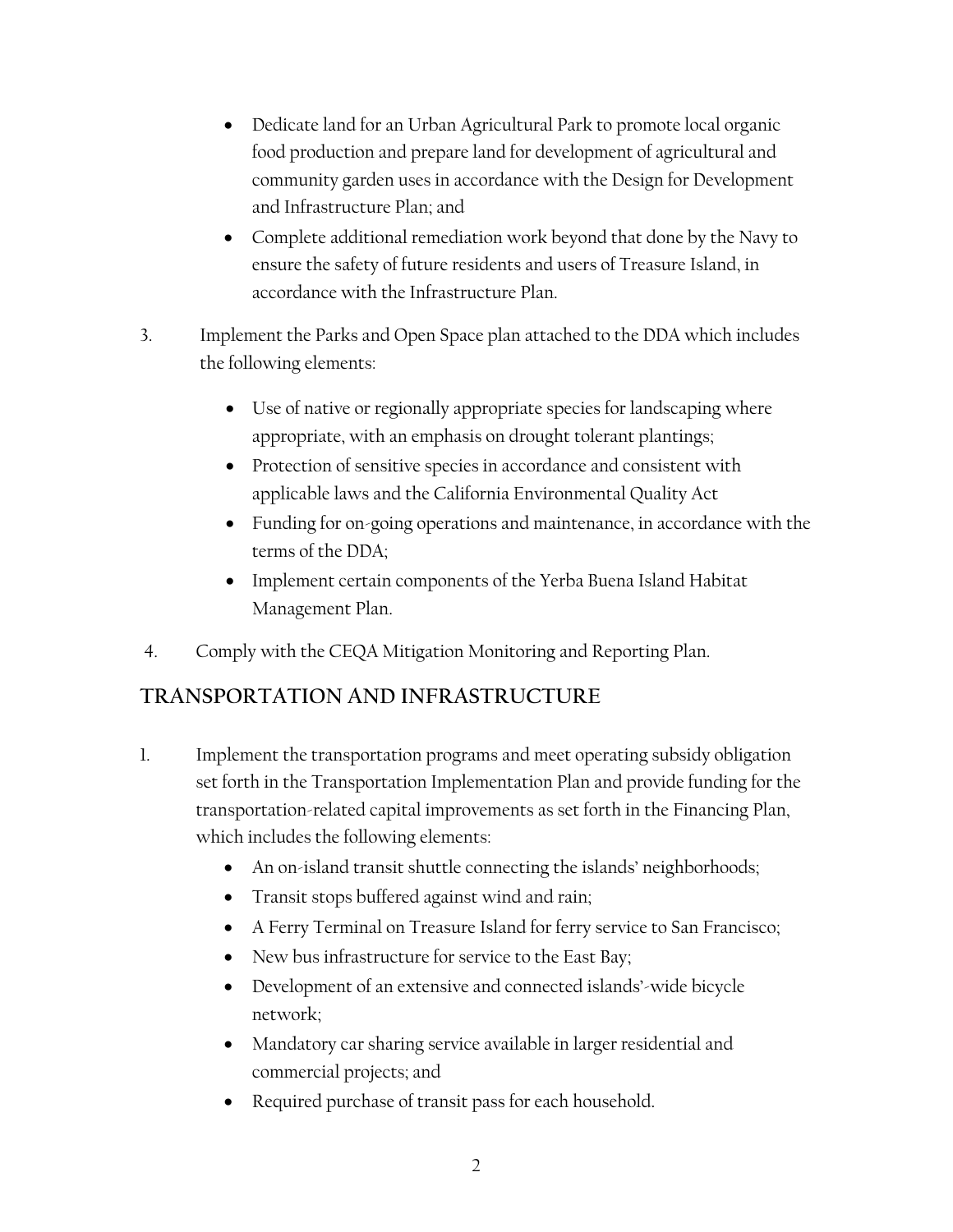- Dedicate land for an Urban Agricultural Park to promote local organic food production and prepare land for development of agricultural and community garden uses in accordance with the Design for Development and Infrastructure Plan; and
- Complete additional remediation work beyond that done by the Navy to ensure the safety of future residents and users of Treasure Island, in accordance with the Infrastructure Plan.
- 3. Implement the Parks and Open Space plan attached to the DDA which includes the following elements:
	- Use of native or regionally appropriate species for landscaping where appropriate, with an emphasis on drought tolerant plantings;
	- Protection of sensitive species in accordance and consistent with applicable laws and the California Environmental Quality Act
	- Funding for on-going operations and maintenance, in accordance with the terms of the DDA;
	- Implement certain components of the Yerba Buena Island Habitat Management Plan.
- 4. Comply with the CEQA Mitigation Monitoring and Reporting Plan.

# **TRANSPORTATION AND INFRASTRUCTURE**

- 1. Implement the transportation programs and meet operating subsidy obligation set forth in the Transportation Implementation Plan and provide funding for the transportation-related capital improvements as set forth in the Financing Plan, which includes the following elements:
	- An on-island transit shuttle connecting the islands' neighborhoods;
	- Transit stops buffered against wind and rain;
	- A Ferry Terminal on Treasure Island for ferry service to San Francisco;
	- New bus infrastructure for service to the East Bay;
	- Development of an extensive and connected islands'-wide bicycle network;
	- Mandatory car sharing service available in larger residential and commercial projects; and
	- Required purchase of transit pass for each household.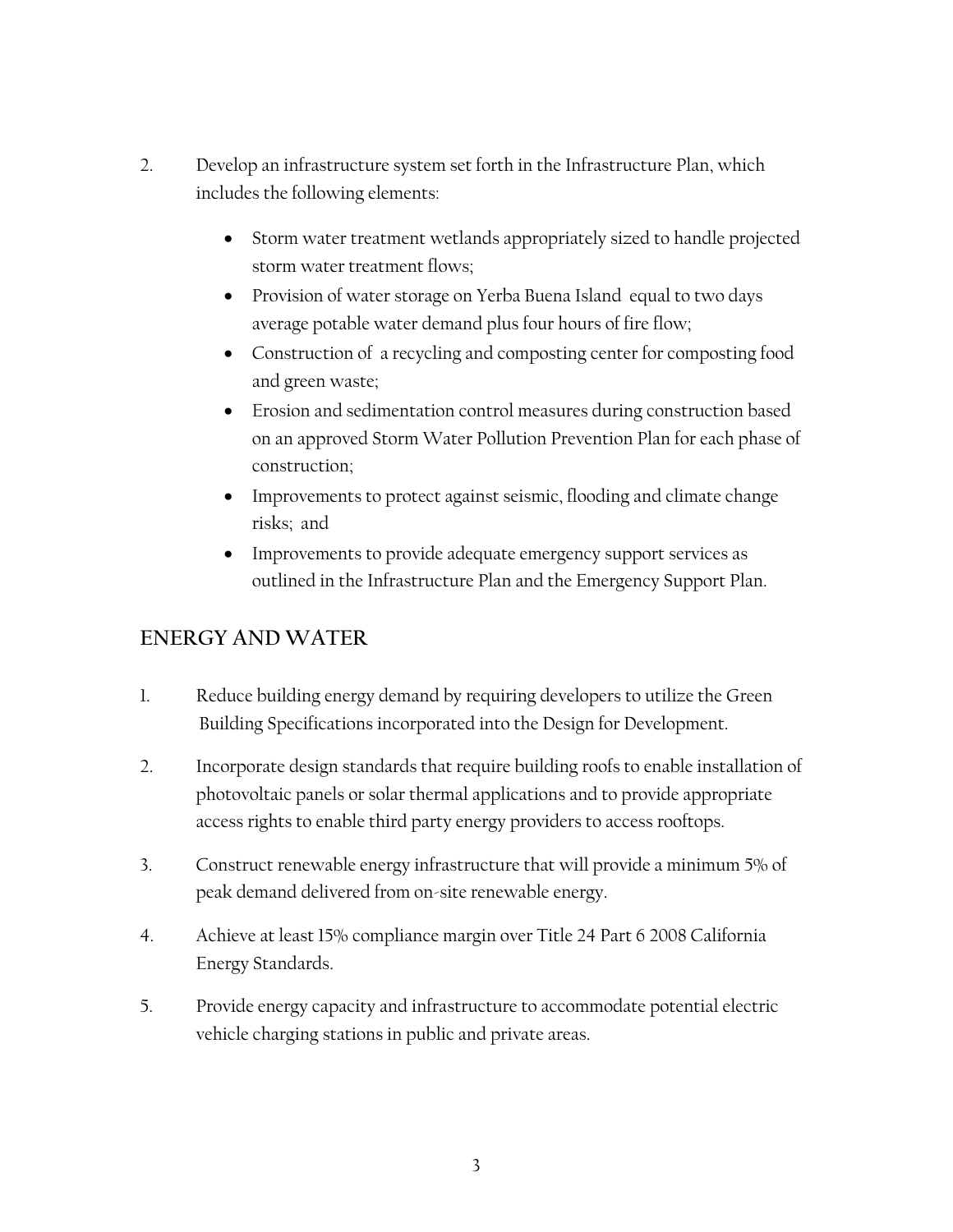- 2. Develop an infrastructure system set forth in the Infrastructure Plan, which includes the following elements:
	- Storm water treatment wetlands appropriately sized to handle projected storm water treatment flows;
	- Provision of water storage on Yerba Buena Island equal to two days average potable water demand plus four hours of fire flow;
	- Construction of a recycling and composting center for composting food and green waste;
	- Erosion and sedimentation control measures during construction based on an approved Storm Water Pollution Prevention Plan for each phase of construction;
	- Improvements to protect against seismic, flooding and climate change risks; and
	- Improvements to provide adequate emergency support services as outlined in the Infrastructure Plan and the Emergency Support Plan.

# **ENERGY AND WATER**

- 1. Reduce building energy demand by requiring developers to utilize the Green Building Specifications incorporated into the Design for Development.
- 2. Incorporate design standards that require building roofs to enable installation of photovoltaic panels or solar thermal applications and to provide appropriate access rights to enable third party energy providers to access rooftops.
- 3. Construct renewable energy infrastructure that will provide a minimum 5% of peak demand delivered from on-site renewable energy.
- 4. Achieve at least 15% compliance margin over Title 24 Part 6 2008 California Energy Standards.
- 5. Provide energy capacity and infrastructure to accommodate potential electric vehicle charging stations in public and private areas.